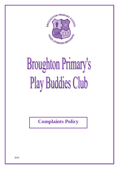

# **Broughton Primary's** Play Buddies Club

**Complaints Policy**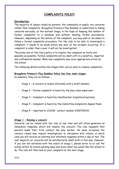# **COMPLAINTS POLICY**

#### **Introduction:**

The majority of issues raised by parents, the community or pupils, are concerns rather than complaints. Broughton Primary's Play Buddies is committed to taking concerns seriously, at the earliest stage, in the hope of keeping the number of formal complaints to a minimum and without needing formal procedures. However, depending on the nature of the complaint, you may wish or be asked to follow a formal complaints procedure. For the club to be able to investigate a complaint, it needs to be made within one year of the incident occurring. If a complaint is older than a year it will not be investigated.

The prime aim of the club's policy is to resolve the complaint as fairly and speedily as possible. Formal complaints will be dealt with in a sensitive, impartial and confidential manner. Malicious complaints may incur appropriate action by the school.

The following details outline the stages that can be used to resolve complaints.

#### **Broughton Primary's Play Buddies Policy has four main stages.**

In summary they are as follows: -

- Stage 1 A concern is raised informally with a staff member.
- Stage 2 Formal complaint is heard by the play clubs supervisor.
- Stage 3 Complaint is heard by Headteacher (registered person).
- Stage 4 Complaint is heard by the Committee Complaints Appeal Panel.
- Stage 5 reported to CSSIW contact number:0300790126

## **Stage 1 – Raising a concern**

Concerns can be raised with the club at any time and will often generate an immediate response, which will resolve the concern. The club requests that parents make their first contact the play worker. On some occasions the concern raised may require investigation, or discussion with others, in which case you will receive an informal but informed response within a day or two. The vast majority of concerns will be satisfactorily dealt with in this way. However, if you are not satisfied with the result at stage 1, please write to or call the school within 10 school working days and state what you would like the school to do. The club will then look at your complaint at the next stage.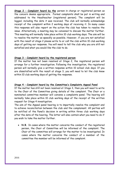**Stage 2 – Complaint heard by the** person in charge or registered person as the concern deems appropriate. Formal complaints shall be put in writing and addressed to the Headteacher (registered person). The complaint will be logged, including the date it was received. The club will normally acknowledge receipt of the complaint within 2 working days of receiving it. In many cases this response will also report on the action the club has taken to resolve the issue. Alternatively, a meeting may be convened to discuss the matter further. This meeting will normally take place within 10 club working days. The aim will be to resolve the matter as speedily as possible. However, if you are not satisfied with the result at stage 2 please write to or call the club within 10 club working days of getting our response. You will need to tell the club why you are still not satisfied and what you would like the club to do.

# **Stage 3 – Complaint heard by the registered person**

If the matter has not been resolved at Stage 2, the registered person will arrange for a further investigation. Following the investigation, the registered person will normally give a written response within 10 school club days. If you are dissatisfied with the result at stage 3, you will need to let the club know within 10 club working days of getting the response.

## **Stage 4 – Complaint heard by the Committee's Complaints Appeal Panel**

If the matter has still not been resolved at Stage 3, then you will need to write to the Chair of the Committee giving details of the complaint. The Chair or a nominated committee member will convene a complaints panel. The hearing will normally take place within 10 club working days of the receipt of the written request for Stage 4 investigation.

The aim of the Appeal panel hearing is to impartially resolve the complaint and to achieve reconciliation between the club and the complainant. All parties will be notified of the Panel's decision in writing within three club working days after the date of the hearing. The letter will also contain what you need to do if you wish to take the matter further.

• **N.B.** In cases where the matter concerns the conduct of the registered person, the Chair of Committee will be informed of the complaint. The Chair of the committee will arrange for the matter to be investigated. In cases where the matter concerns the conduct of a member of the committee the member will be informed of the complaint.